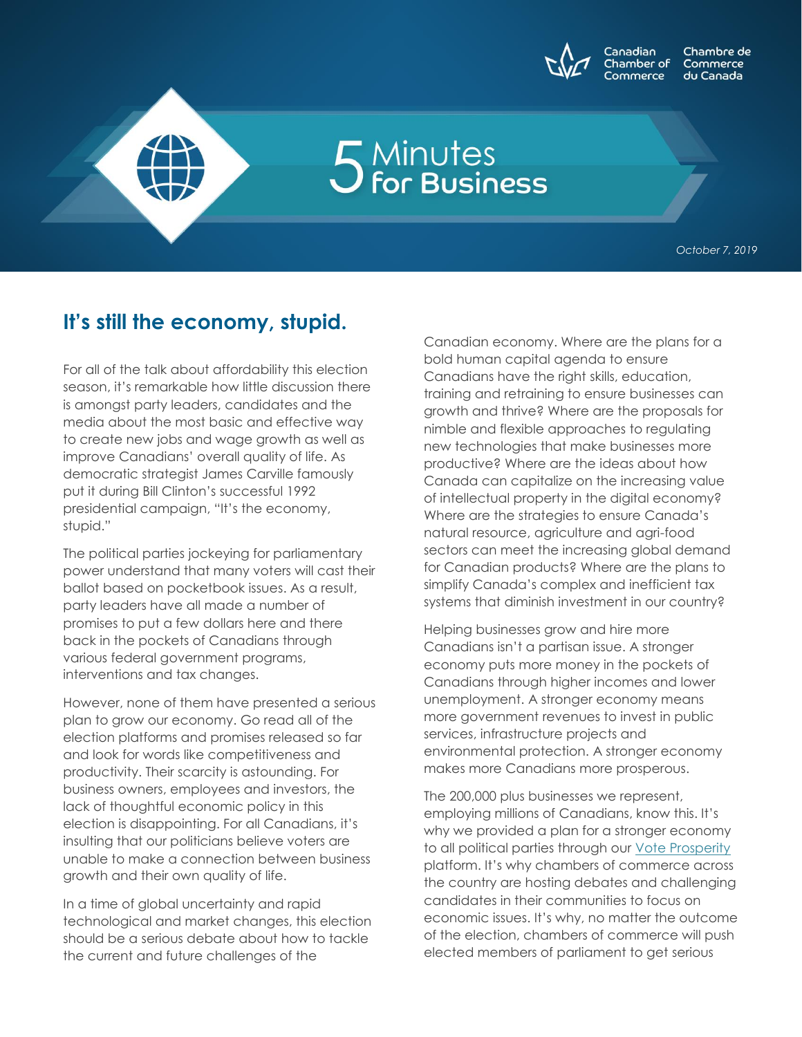

## 5 Minutes<br>5 for Business

*October 7, 2019*

## **It's still the economy, stupid.**

For all of the talk about affordability this election season, it's remarkable how little discussion there is amongst party leaders, candidates and the media about the most basic and effective way to create new jobs and wage growth as well as improve Canadians' overall quality of life. As democratic strategist James Carville famously put it during Bill Clinton's successful 1992 presidential campaign, "It's the economy, stupid."

The political parties jockeying for parliamentary power understand that many voters will cast their ballot based on pocketbook issues. As a result, party leaders have all made a number of promises to put a few dollars here and there back in the pockets of Canadians through various federal government programs, interventions and tax changes.

However, none of them have presented a serious plan to grow our economy. Go read all of the election platforms and promises released so far and look for words like competitiveness and productivity. Their scarcity is astounding. For business owners, employees and investors, the lack of thoughtful economic policy in this election is disappointing. For all Canadians, it's insulting that our politicians believe voters are unable to make a connection between business growth and their own quality of life.

In a time of global uncertainty and rapid technological and market changes, this election should be a serious debate about how to tackle the current and future challenges of the

Canadian economy. Where are the plans for a bold human capital agenda to ensure Canadians have the right skills, education, training and retraining to ensure businesses can growth and thrive? Where are the proposals for nimble and flexible approaches to regulating new technologies that make businesses more productive? Where are the ideas about how Canada can capitalize on the increasing value of intellectual property in the digital economy? Where are the strategies to ensure Canada's natural resource, agriculture and agri-food sectors can meet the increasing global demand for Canadian products? Where are the plans to simplify Canada's complex and inefficient tax systems that diminish investment in our country?

Helping businesses grow and hire more Canadians isn't a partisan issue. A stronger economy puts more money in the pockets of Canadians through higher incomes and lower unemployment. A stronger economy means more government revenues to invest in public services, infrastructure projects and environmental protection. A stronger economy makes more Canadians more prosperous.

The 200,000 plus businesses we represent, employing millions of Canadians, know this. It's why we provided a plan for a stronger economy to all political parties through our [Vote Prosperity](http://www.voteprosperityca.ca/) platform. It's why chambers of commerce across the country are hosting debates and challenging candidates in their communities to focus on economic issues. It's why, no matter the outcome of the election, chambers of commerce will push elected members of parliament to get serious